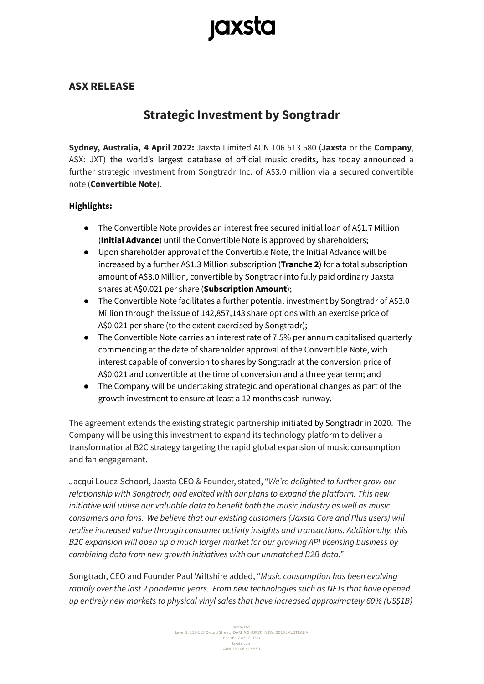# **jaxsta**

### **ASX RELEASE**

## **Strategic Investment by Songtradr**

**Sydney, Australia, 4 April 2022:** Jaxsta Limited ACN 106 513 580 (**Jaxsta** or the **Company**, ASX: JXT) the world's largest database of official music credits, has today announced a further strategic investment from Songtradr Inc. of A\$3.0 million via a secured convertible note (**Convertible Note**).

### **Highlights:**

- The Convertible Note provides an interest free secured initial loan of A\$1.7 Million (**Initial Advance**) until the Convertible Note is approved by shareholders;
- Upon shareholder approval of the Convertible Note, the Initial Advance will be increased by a further A\$1.3 Million subscription (**Tranche 2**) for a total subscription amount of A\$3.0 Million, convertible by Songtradr into fully paid ordinary Jaxsta shares at A\$0.021 per share (**Subscription Amount**);
- The Convertible Note facilitates a further potential investment by Songtradr of A\$3.0 Million through the issue of 142,857,143 share options with an exercise price of A\$0.021 per share (to the extent exercised by Songtradr);
- The Convertible Note carries an interest rate of 7.5% per annum capitalised quarterly commencing at the date of shareholder approval of the Convertible Note, with interest capable of conversion to shares by Songtradr at the conversion price of A\$0.021 and convertible at the time of conversion and a three year term; and
- The Company will be undertaking strategic and operational changes as part of the growth investment to ensure at least a 12 months cash runway.

The agreement extends the existing strategic partnership initiated by Songtradr in 2020. The Company will be using this investment to expand its technology platform to deliver a transformational B2C strategy targeting the rapid global expansion of music consumption and fan engagement.

Jacqui Louez-Schoorl, Jaxsta CEO & Founder, stated, "*We're delighted to further grow our relationship with Songtradr, and excited with our plans to expand the platform. This new initiative will utilise our valuable data to benefit both the music industry as well as music consumers and fans. We believe that our existing customers (Jaxsta Core and Plus users) will realise increased value through consumer activity insights and transactions. Additionally, this B2C expansion will open up a much larger market for our growing API licensing business by combining data from new growth initiatives with our unmatched B2B data."*

Songtradr, CEO and Founder Paul Wiltshire added, "*Music consumption has been evolving rapidly over the last 2 pandemic years. From new technologies such as NFTs that have opened up entirely new markets to physical vinyl sales that have increased approximately 60% (US\$1B)*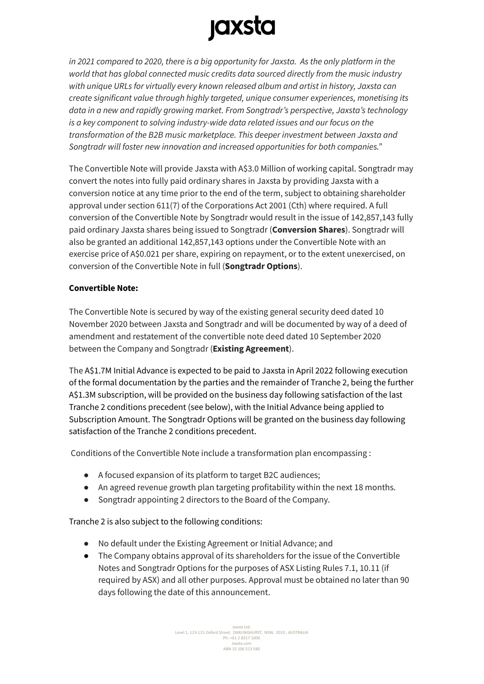# **jaxsta**

*in 2021 compared to 2020, there is a big opportunity for Jaxsta. As the only platform in the world that has global connected music credits data sourced directly from the music industry with unique URLs for virtually every known released album and artist in history, Jaxsta can create significant value through highly targeted, unique consumer experiences, monetising its data in a new and rapidly growing market. From Songtradr's perspective, Jaxsta's technology is a key component to solving industry-wide data related issues and our focus on the transformation of the B2B music marketplace. This deeper investment between Jaxsta and Songtradr will foster new innovation and increased opportunities for both companies."*

The Convertible Note will provide Jaxsta with A\$3.0 Million of working capital. Songtradr may convert the notes into fully paid ordinary shares in Jaxsta by providing Jaxsta with a conversion notice at any time prior to the end of the term, subject to obtaining shareholder approval under section 611(7) of the Corporations Act 2001 (Cth) where required. A full conversion of the Convertible Note by Songtradr would result in the issue of 142,857,143 fully paid ordinary Jaxsta shares being issued to Songtradr (**Conversion Shares**). Songtradr will also be granted an additional 142,857,143 options under the Convertible Note with an exercise price of A\$0.021 per share, expiring on repayment, or to the extent unexercised, on conversion of the Convertible Note in full (**Songtradr Options**).

### **Convertible Note:**

The Convertible Note is secured by way of the existing general security deed dated 10 November 2020 between Jaxsta and Songtradr and will be documented by way of a deed of amendment and restatement of the convertible note deed dated 10 September 2020 between the Company and Songtradr (**Existing Agreement**).

The A\$1.7M Initial Advance is expected to be paid to Jaxsta in April 2022 following execution of the formal documentation by the parties and the remainder of Tranche 2, being the further A\$1.3M subscription, will be provided on the business day following satisfaction of the last Tranche 2 conditions precedent (see below), with the Initial Advance being applied to Subscription Amount. The Songtradr Options will be granted on the business day following satisfaction of the Tranche 2 conditions precedent.

Conditions of the Convertible Note include a transformation plan encompassing :

- A focused expansion of its platform to target B2C audiences;
- An agreed revenue growth plan targeting profitability within the next 18 months.
- Songtradr appointing 2 directors to the Board of the Company.

Tranche 2 is also subject to the following conditions:

- No default under the Existing Agreement or Initial Advance; and
- The Company obtains approval of its shareholders for the issue of the Convertible Notes and Songtradr Options for the purposes of ASX Listing Rules 7.1, 10.11 (if required by ASX) and all other purposes. Approval must be obtained no later than 90 days following the date of this announcement.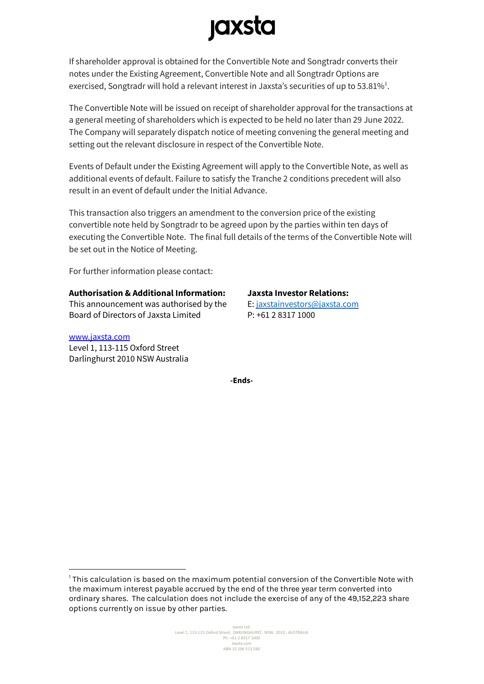# **jaxsta**

If shareholder approval is obtained for the Convertible Note and Songtradr converts their notes under the Existing Agreement, Convertible Note and all Songtradr Options are exercised, Songtradr will hold a relevant interest in Jaxsta's securities of up to 53.81%<sup>1</sup>.

The Convertible Note will be issued on receipt of shareholder approval for the transactions at a general meeting of shareholders which is expected to be held no later than 29 June 2022. The Company will separately dispatch notice of meeting convening the general meeting and setting out the relevant disclosure in respect of the Convertible Note.

Events of Default under the Existing Agreement will apply to the Convertible Note, as well as additional events of default. Failure to satisfy the Tranche 2 conditions precedent will also result in an event of default under the Initial Advance.

This transaction also triggers an amendment to the conversion price of the existing convertible note held by Songtradr to be agreed upon by the parties within ten days of executing the Convertible Note. The final full details of the terms of the Convertible Note will be set out in the Notice of Meeting.

For further information please contact:

### **Authorisation & Additional Information:**

This announcement was authorised by the Board of Directors of Jaxsta Limited

#### [www.jaxsta.com](http://www.jaxsta.com)

Level 1, 113-115 Oxford Street Darlinghurst 2010 NSW Australia **Jaxsta Investor Relations:**

E: [jaxstainvestors@jaxsta.com](mailto:jaxstainvestors@jaxsta.com) P: +61 2 8317 1000

**-Ends-**

<sup>1</sup> This calculation is based on the maximum potential conversion of the Convertible Note with the maximum interest payable accrued by the end of the three year term converted into ordinary shares. The calculation does not include the exercise of any of the 49,152,223 share options currently on issue by other parties.